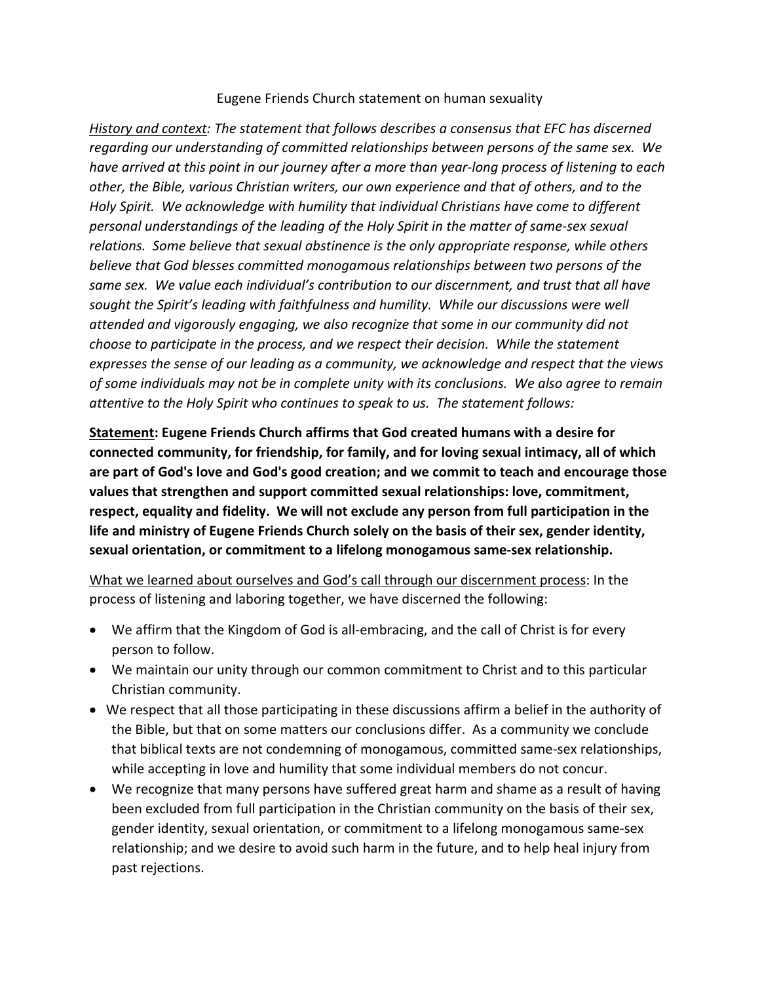## Eugene Friends Church statement on human sexuality

*History and context: The statement that follows describes a consensus that EFC has discerned regarding our understanding of committed relationships between persons of the same sex. We have arrived at this point in our journey after a more than year-long process of listening to each other, the Bible, various Christian writers, our own experience and that of others, and to the Holy Spirit. We acknowledge with humility that individual Christians have come to different personal understandings of the leading of the Holy Spirit in the matter of same-sex sexual relations. Some believe that sexual abstinence is the only appropriate response, while others believe that God blesses committed monogamous relationships between two persons of the same sex. We value each individual's contribution to our discernment, and trust that all have sought the Spirit's leading with faithfulness and humility. While our discussions were well attended and vigorously engaging, we also recognize that some in our community did not choose to participate in the process, and we respect their decision. While the statement expresses the sense of our leading as a community, we acknowledge and respect that the views of some individuals may not be in complete unity with its conclusions. We also agree to remain attentive to the Holy Spirit who continues to speak to us. The statement follows:* 

**Statement: Eugene Friends Church affirms that God created humans with a desire for connected community, for friendship, for family, and for loving sexual intimacy, all of which are part of God's love and God's good creation; and we commit to teach and encourage those values that strengthen and support committed sexual relationships: love, commitment, respect, equality and fidelity. We will not exclude any person from full participation in the life and ministry of Eugene Friends Church solely on the basis of their sex, gender identity, sexual orientation, or commitment to a lifelong monogamous same-sex relationship.** 

What we learned about ourselves and God's call through our discernment process: In the process of listening and laboring together, we have discerned the following:

- We affirm that the Kingdom of God is all-embracing, and the call of Christ is for every person to follow.
- We maintain our unity through our common commitment to Christ and to this particular Christian community.
- We respect that all those participating in these discussions affirm a belief in the authority of the Bible, but that on some matters our conclusions differ. As a community we conclude that biblical texts are not condemning of monogamous, committed same-sex relationships, while accepting in love and humility that some individual members do not concur.
- We recognize that many persons have suffered great harm and shame as a result of having been excluded from full participation in the Christian community on the basis of their sex, gender identity, sexual orientation, or commitment to a lifelong monogamous same-sex relationship; and we desire to avoid such harm in the future, and to help heal injury from past rejections.